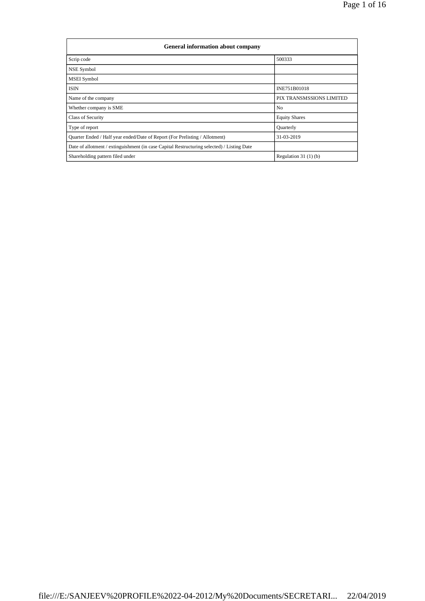| <b>General information about company</b>                                                   |                          |  |  |  |  |  |  |  |
|--------------------------------------------------------------------------------------------|--------------------------|--|--|--|--|--|--|--|
| Scrip code                                                                                 | 500333                   |  |  |  |  |  |  |  |
| <b>NSE Symbol</b>                                                                          |                          |  |  |  |  |  |  |  |
| <b>MSEI</b> Symbol                                                                         |                          |  |  |  |  |  |  |  |
| <b>ISIN</b>                                                                                | INE751B01018             |  |  |  |  |  |  |  |
| Name of the company                                                                        | PIX TRANSMSSIONS LIMITED |  |  |  |  |  |  |  |
| Whether company is SME                                                                     | No                       |  |  |  |  |  |  |  |
| <b>Class of Security</b>                                                                   | <b>Equity Shares</b>     |  |  |  |  |  |  |  |
| Type of report                                                                             | Quarterly                |  |  |  |  |  |  |  |
| Quarter Ended / Half year ended/Date of Report (For Prelisting / Allotment)                | 31-03-2019               |  |  |  |  |  |  |  |
| Date of allotment / extinguishment (in case Capital Restructuring selected) / Listing Date |                          |  |  |  |  |  |  |  |
| Shareholding pattern filed under                                                           | Regulation $31(1)(b)$    |  |  |  |  |  |  |  |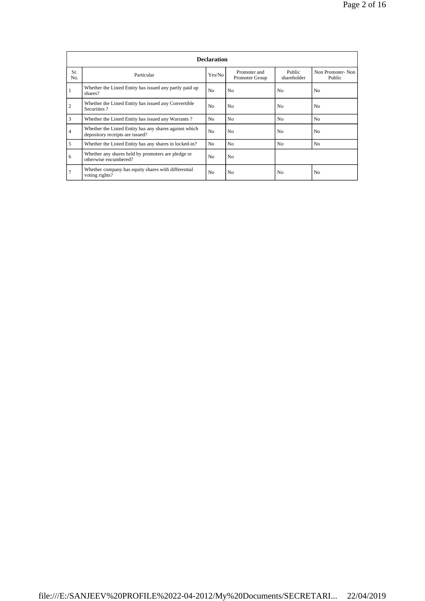|                | <b>Declaration</b>                                                                        |                |                                |                       |                            |  |  |  |  |  |  |  |
|----------------|-------------------------------------------------------------------------------------------|----------------|--------------------------------|-----------------------|----------------------------|--|--|--|--|--|--|--|
| Sr.<br>No.     | Particular                                                                                | Yes/No         | Promoter and<br>Promoter Group | Public<br>shareholder | Non Promoter-Non<br>Public |  |  |  |  |  |  |  |
|                | Whether the Listed Entity has issued any partly paid up<br>shares?                        | N <sub>0</sub> | N <sub>0</sub>                 | N <sub>0</sub>        | N <sub>0</sub>             |  |  |  |  |  |  |  |
| $\overline{2}$ | Whether the Listed Entity has issued any Convertible<br>Securities?                       | N <sub>0</sub> | N <sub>0</sub>                 | N <sub>0</sub>        | N <sub>0</sub>             |  |  |  |  |  |  |  |
| 3              | Whether the Listed Entity has issued any Warrants?                                        | N <sub>0</sub> | N <sub>0</sub>                 | N <sub>0</sub>        | N <sub>0</sub>             |  |  |  |  |  |  |  |
| $\overline{4}$ | Whether the Listed Entity has any shares against which<br>depository receipts are issued? | No.            | N <sub>0</sub>                 | N <sub>0</sub>        | N <sub>0</sub>             |  |  |  |  |  |  |  |
| 5              | Whether the Listed Entity has any shares in locked-in?                                    | N <sub>0</sub> | N <sub>0</sub>                 | No                    | N <sub>o</sub>             |  |  |  |  |  |  |  |
| 6              | Whether any shares held by promoters are pledge or<br>otherwise encumbered?               | N <sub>0</sub> | N <sub>0</sub>                 |                       |                            |  |  |  |  |  |  |  |
| $\overline{7}$ | Whether company has equity shares with differential<br>voting rights?                     | No.            | N <sub>0</sub>                 | No                    | N <sub>0</sub>             |  |  |  |  |  |  |  |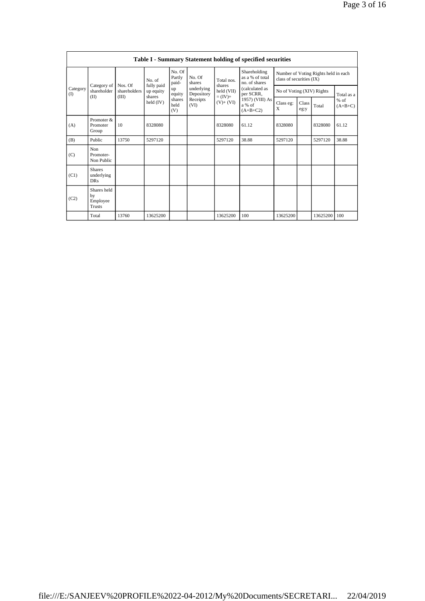|                          |                                                |                                                                                                                    |                               |                           |                          |                      | <b>Table I - Summary Statement holding of specified securities</b> |                                                                  |  |            |       |
|--------------------------|------------------------------------------------|--------------------------------------------------------------------------------------------------------------------|-------------------------------|---------------------------|--------------------------|----------------------|--------------------------------------------------------------------|------------------------------------------------------------------|--|------------|-------|
|                          |                                                |                                                                                                                    | No. of                        | No. Of<br>Partly<br>paid- | No. Of<br>shares         | Total nos.           | Shareholding<br>as a % of total<br>no. of shares                   | Number of Voting Rights held in each<br>class of securities (IX) |  |            |       |
| Category<br>$($ $\Gamma$ | Category of<br>shareholder                     | Nos. Of<br>shareholders                                                                                            | fully paid<br>up equity       | up<br>equity              | underlying<br>Depository | shares<br>held (VII) | (calculated as<br>per SCRR,                                        | No of Voting (XIV) Rights                                        |  | Total as a |       |
|                          | (II)                                           | (III)<br>shares<br>$=$ (IV)+<br>Receipts<br>shares<br>held $(IV)$<br>$(V) + (VI)$<br>a % of<br>held<br>(VI)<br>(V) | 1957) (VIII) As<br>$(A+B+C2)$ | Class eg:<br>X            | Class<br>eg:y            | Total                | $%$ of<br>$(A+B+C)$                                                |                                                                  |  |            |       |
| (A)                      | Promoter &<br>Promoter<br>Group                | 10                                                                                                                 | 8328080                       |                           |                          | 8328080              | 61.12                                                              | 8328080                                                          |  | 8328080    | 61.12 |
| (B)                      | Public                                         | 13750                                                                                                              | 5297120                       |                           |                          | 5297120              | 38.88                                                              | 5297120                                                          |  | 5297120    | 38.88 |
| (C)                      | Non<br>Promoter-<br>Non Public                 |                                                                                                                    |                               |                           |                          |                      |                                                                    |                                                                  |  |            |       |
| (C1)                     | <b>Shares</b><br>underlying<br>DR <sub>S</sub> |                                                                                                                    |                               |                           |                          |                      |                                                                    |                                                                  |  |            |       |
| (C2)                     | Shares held<br>by<br>Employee<br><b>Trusts</b> |                                                                                                                    |                               |                           |                          |                      |                                                                    |                                                                  |  |            |       |
|                          | Total                                          | 13760                                                                                                              | 13625200                      |                           |                          | 13625200             | 100                                                                | 13625200                                                         |  | 13625200   | 100   |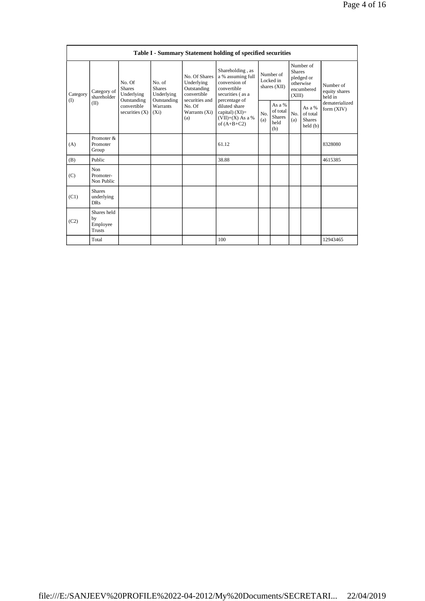|                 | Table I - Summary Statement holding of specified securities |                                                      |                                                                             |                                                                                                               |                                                                                                            |                                          |                                                      |                                                                               |                                                |                                       |  |  |  |
|-----------------|-------------------------------------------------------------|------------------------------------------------------|-----------------------------------------------------------------------------|---------------------------------------------------------------------------------------------------------------|------------------------------------------------------------------------------------------------------------|------------------------------------------|------------------------------------------------------|-------------------------------------------------------------------------------|------------------------------------------------|---------------------------------------|--|--|--|
| Category<br>(1) | Category of<br>shareholder<br>(II)                          | No. Of<br><b>Shares</b><br>Underlying<br>Outstanding | No. of<br><b>Shares</b><br>Underlying<br>Outstanding<br>Warrants<br>$(X_i)$ | No. Of Shares<br>Underlying<br>Outstanding<br>convertible<br>securities and<br>No. Of<br>Warrants (Xi)<br>(a) | Shareholding, as<br>a % assuming full<br>conversion of<br>convertible<br>securities (as a<br>percentage of | Number of<br>Locked in<br>shares $(XII)$ |                                                      | Number of<br><b>Shares</b><br>pledged or<br>otherwise<br>encumbered<br>(XIII) |                                                | Number of<br>equity shares<br>held in |  |  |  |
|                 |                                                             | convertible<br>securities $(X)$                      |                                                                             |                                                                                                               | diluted share<br>capital) $(XI)=$<br>$(VII)+(X)$ As a %<br>of $(A+B+C2)$                                   | No.<br>(a)                               | As $a\%$<br>of total<br><b>Shares</b><br>held<br>(b) | No.<br>(a)                                                                    | As a %<br>of total<br><b>Shares</b><br>held(b) | dematerialized<br>form (XIV)          |  |  |  |
| (A)             | Promoter &<br>Promoter<br>Group                             |                                                      |                                                                             |                                                                                                               | 61.12                                                                                                      |                                          |                                                      |                                                                               |                                                | 8328080                               |  |  |  |
| (B)             | Public                                                      |                                                      |                                                                             |                                                                                                               | 38.88                                                                                                      |                                          |                                                      |                                                                               |                                                | 4615385                               |  |  |  |
| (C)             | Non<br>Promoter-<br>Non Public                              |                                                      |                                                                             |                                                                                                               |                                                                                                            |                                          |                                                      |                                                                               |                                                |                                       |  |  |  |
| (C1)            | <b>Shares</b><br>underlying<br><b>DRs</b>                   |                                                      |                                                                             |                                                                                                               |                                                                                                            |                                          |                                                      |                                                                               |                                                |                                       |  |  |  |
| (C2)            | Shares held<br>by<br>Employee<br><b>Trusts</b>              |                                                      |                                                                             |                                                                                                               |                                                                                                            |                                          |                                                      |                                                                               |                                                |                                       |  |  |  |
|                 | Total                                                       |                                                      |                                                                             |                                                                                                               | 100                                                                                                        |                                          |                                                      |                                                                               |                                                | 12943465                              |  |  |  |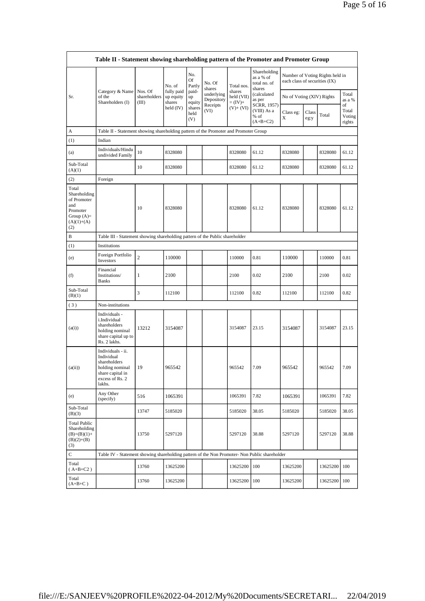|                                                                                                | Table II - Statement showing shareholding pattern of the Promoter and Promoter Group                                |                                  |                                   |                       |                          |                                    |                                                     |                               |               |                                 |                                 |  |  |
|------------------------------------------------------------------------------------------------|---------------------------------------------------------------------------------------------------------------------|----------------------------------|-----------------------------------|-----------------------|--------------------------|------------------------------------|-----------------------------------------------------|-------------------------------|---------------|---------------------------------|---------------------------------|--|--|
|                                                                                                |                                                                                                                     |                                  | No. of                            | No.<br>Of<br>Partly   | No. Of<br>shares         | Total nos.                         | Shareholding<br>as a % of<br>total no. of<br>shares | each class of securities (IX) |               | Number of Voting Rights held in |                                 |  |  |
| Sr.                                                                                            | Category & Name<br>of the<br>Shareholders (I)                                                                       | Nos. Of<br>shareholders<br>(III) | fully paid<br>up equity<br>shares | paid-<br>up<br>equity | underlying<br>Depository | shares<br>held (VII)<br>$= (IV) +$ | (calculated<br>as per                               | No of Voting (XIV) Rights     |               |                                 | Total<br>as a %                 |  |  |
|                                                                                                |                                                                                                                     |                                  | held (IV)                         | shares<br>held<br>(V) | Receipts<br>(VI)         | $(V)+(VI)$                         | SCRR, 1957)<br>(VIII) As a<br>% of<br>$(A+B+C2)$    | Class eg:<br>Χ                | Class<br>eg:y | Total                           | of<br>Total<br>Voting<br>rights |  |  |
| А                                                                                              | Table II - Statement showing shareholding pattern of the Promoter and Promoter Group                                |                                  |                                   |                       |                          |                                    |                                                     |                               |               |                                 |                                 |  |  |
| (1)                                                                                            | Indian                                                                                                              |                                  |                                   |                       |                          |                                    |                                                     |                               |               |                                 |                                 |  |  |
| (a)                                                                                            | Individuals/Hindu<br>undivided Family                                                                               | 10                               | 8328080                           |                       |                          | 8328080                            | 61.12                                               | 8328080                       |               | 8328080                         | 61.12                           |  |  |
| Sub-Total<br>(A)(1)                                                                            |                                                                                                                     | 10                               | 8328080                           |                       |                          | 8328080                            | 61.12                                               | 8328080                       |               | 8328080                         | 61.12                           |  |  |
| (2)                                                                                            | Foreign                                                                                                             |                                  |                                   |                       |                          |                                    |                                                     |                               |               |                                 |                                 |  |  |
| Total<br>Shareholding<br>of Promoter<br>and<br>Promoter<br>Group $(A)=$<br>$(A)(1)+(A)$<br>(2) |                                                                                                                     | 10                               | 8328080                           |                       |                          | 8328080                            | 61.12                                               | 8328080                       |               | 8328080                         | 61.12                           |  |  |
| В                                                                                              | Table III - Statement showing shareholding pattern of the Public shareholder                                        |                                  |                                   |                       |                          |                                    |                                                     |                               |               |                                 |                                 |  |  |
| (1)                                                                                            | Institutions                                                                                                        |                                  |                                   |                       |                          |                                    |                                                     |                               |               |                                 |                                 |  |  |
| (e)                                                                                            | Foreign Portfolio<br>Investors                                                                                      | $\mathbf{2}$                     | 110000                            |                       |                          | 110000                             | 0.81                                                | 110000                        |               | 110000                          | 0.81                            |  |  |
| (f)                                                                                            | Financial<br>Institutions/<br><b>Banks</b>                                                                          | 1                                | 2100                              |                       |                          | 2100                               | 0.02                                                | 2100                          |               | 2100                            | 0.02                            |  |  |
| Sub-Total<br>(B)(1)                                                                            |                                                                                                                     | 3                                | 112100                            |                       |                          | 112100                             | 0.82                                                | 112100                        |               | 112100                          | 0.82                            |  |  |
| (3)                                                                                            | Non-institutions                                                                                                    |                                  |                                   |                       |                          |                                    |                                                     |                               |               |                                 |                                 |  |  |
| (a(i))                                                                                         | Individuals -<br>i.Individual<br>shareholders<br>holding nominal<br>share capital up to<br>Rs. 2 lakhs.             | 13212                            | 3154087                           |                       |                          | 3154087                            | 23.15                                               | 3154087                       |               | 3154087                         | 23.15                           |  |  |
| (a(ii))                                                                                        | Individuals - ii.<br>Individual<br>shareholders<br>holding nominal<br>share capital in<br>excess of Rs. 2<br>lakhs. | 19                               | 965542                            |                       |                          | 965542                             | 7.09                                                | 965542                        |               | 965542                          | 7.09                            |  |  |
| (e)                                                                                            | Any Other<br>(specify)                                                                                              | 516                              | 1065391                           |                       |                          | 1065391                            | 7.82                                                | 1065391                       |               | 1065391                         | 7.82                            |  |  |
| Sub-Total<br>(B)(3)                                                                            |                                                                                                                     | 13747                            | 5185020                           |                       |                          | 5185020                            | 38.05                                               | 5185020                       |               | 5185020                         | 38.05                           |  |  |
| <b>Total Public</b><br>Shareholding<br>$(B)=(B)(1)+$<br>$(B)(2)+(B)$<br>(3)                    |                                                                                                                     | 13750                            | 5297120                           |                       |                          | 5297120                            | 38.88                                               | 5297120                       |               | 5297120                         | 38.88                           |  |  |
| ${\bf C}$                                                                                      | Table IV - Statement showing shareholding pattern of the Non Promoter- Non Public shareholder                       |                                  |                                   |                       |                          |                                    |                                                     |                               |               |                                 |                                 |  |  |
| Total<br>$(A+B+C2)$                                                                            |                                                                                                                     | 13760                            | 13625200                          |                       |                          | 13625200                           | 100                                                 | 13625200                      |               | 13625200 100                    |                                 |  |  |
| Total<br>$(A+B+C)$                                                                             |                                                                                                                     | 13760                            | 13625200                          |                       |                          | 13625200 100                       |                                                     | 13625200                      |               | 13625200 100                    |                                 |  |  |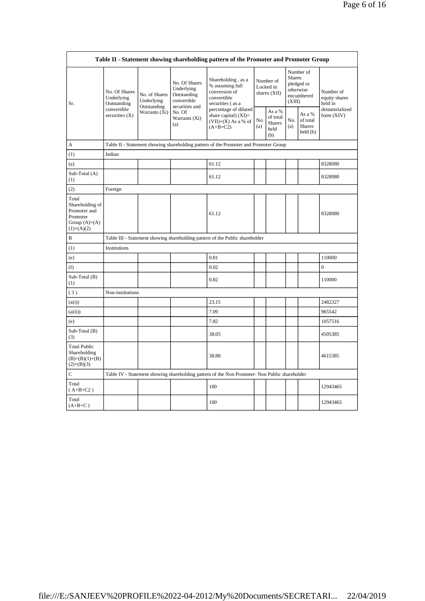|                                                                                         | Table II - Statement showing shareholding pattern of the Promoter and Promoter Group |                              |                                                                                                               |                                                                                               |                                        |                                                    |                                                                               |                                                |                                       |  |  |  |
|-----------------------------------------------------------------------------------------|--------------------------------------------------------------------------------------|------------------------------|---------------------------------------------------------------------------------------------------------------|-----------------------------------------------------------------------------------------------|----------------------------------------|----------------------------------------------------|-------------------------------------------------------------------------------|------------------------------------------------|---------------------------------------|--|--|--|
| Sr.                                                                                     | No. Of Shares<br>Underlying<br>Outstanding                                           | No. of Shares<br>Underlying  | No. Of Shares<br>Underlying<br>Outstanding<br>convertible<br>securities and<br>No. Of<br>Warrants (Xi)<br>(a) | Shareholding, as a<br>% assuming full<br>conversion of<br>convertible<br>securities (as a     | Number of<br>Locked in<br>shares (XII) |                                                    | Number of<br><b>Shares</b><br>pledged or<br>otherwise<br>encumbered<br>(XIII) |                                                | Number of<br>equity shares<br>held in |  |  |  |
|                                                                                         | convertible<br>securities $(X)$                                                      | Outstanding<br>Warrants (Xi) |                                                                                                               | percentage of diluted<br>share capital) $(XI)$ =<br>$(VII)+(X)$ As a % of<br>$(A+B+C2)$       | No.<br>(a)                             | As a %<br>of total<br><b>Shares</b><br>held<br>(b) | No.<br>(a)                                                                    | As a %<br>of total<br><b>Shares</b><br>held(b) | dematerialized<br>form (XIV)          |  |  |  |
| A                                                                                       |                                                                                      |                              |                                                                                                               | Table II - Statement showing shareholding pattern of the Promoter and Promoter Group          |                                        |                                                    |                                                                               |                                                |                                       |  |  |  |
| (1)                                                                                     | Indian                                                                               |                              |                                                                                                               |                                                                                               |                                        |                                                    |                                                                               |                                                |                                       |  |  |  |
| (a)                                                                                     |                                                                                      |                              |                                                                                                               | 61.12                                                                                         |                                        |                                                    |                                                                               |                                                | 8328080                               |  |  |  |
| Sub-Total (A)<br>(1)                                                                    |                                                                                      |                              |                                                                                                               | 61.12                                                                                         |                                        |                                                    |                                                                               |                                                | 8328080                               |  |  |  |
| (2)                                                                                     | Foreign                                                                              |                              |                                                                                                               |                                                                                               |                                        |                                                    |                                                                               |                                                |                                       |  |  |  |
| Total<br>Shareholding of<br>Promoter and<br>Promoter<br>Group $(A)=(A)$<br>$(1)+(A)(2)$ |                                                                                      |                              |                                                                                                               | 61.12                                                                                         |                                        |                                                    |                                                                               |                                                | 8328080                               |  |  |  |
| B                                                                                       |                                                                                      |                              |                                                                                                               | Table III - Statement showing shareholding pattern of the Public shareholder                  |                                        |                                                    |                                                                               |                                                |                                       |  |  |  |
| (1)                                                                                     | Institutions                                                                         |                              |                                                                                                               |                                                                                               |                                        |                                                    |                                                                               |                                                |                                       |  |  |  |
| (e)                                                                                     |                                                                                      |                              |                                                                                                               | 0.81                                                                                          |                                        |                                                    |                                                                               |                                                | 110000                                |  |  |  |
| (f)                                                                                     |                                                                                      |                              |                                                                                                               | 0.02                                                                                          |                                        |                                                    |                                                                               |                                                | $\overline{0}$                        |  |  |  |
| Sub-Total (B)<br>(1)                                                                    |                                                                                      |                              |                                                                                                               | 0.82                                                                                          |                                        |                                                    |                                                                               |                                                | 110000                                |  |  |  |
| (3)                                                                                     | Non-institutions                                                                     |                              |                                                                                                               |                                                                                               |                                        |                                                    |                                                                               |                                                |                                       |  |  |  |
| (a(i))                                                                                  |                                                                                      |                              |                                                                                                               | 23.15                                                                                         |                                        |                                                    |                                                                               |                                                | 2482327                               |  |  |  |
| (a(ii))                                                                                 |                                                                                      |                              |                                                                                                               | 7.09                                                                                          |                                        |                                                    |                                                                               |                                                | 965542                                |  |  |  |
| (e)                                                                                     |                                                                                      |                              |                                                                                                               | 7.82                                                                                          |                                        |                                                    |                                                                               |                                                | 1057516                               |  |  |  |
| Sub-Total (B)<br>(3)                                                                    |                                                                                      |                              |                                                                                                               | 38.05                                                                                         |                                        |                                                    |                                                                               |                                                | 4505385                               |  |  |  |
| <b>Total Public</b><br>Shareholding<br>$(B)=(B)(1)+(B)$<br>$(2)+(B)(3)$                 |                                                                                      |                              |                                                                                                               | 38.88                                                                                         |                                        |                                                    |                                                                               |                                                | 4615385                               |  |  |  |
| $\mathsf{C}$                                                                            |                                                                                      |                              |                                                                                                               | Table IV - Statement showing shareholding pattern of the Non Promoter- Non Public shareholder |                                        |                                                    |                                                                               |                                                |                                       |  |  |  |
| Total<br>$(A+B+C2)$                                                                     |                                                                                      |                              |                                                                                                               | 100                                                                                           |                                        |                                                    |                                                                               |                                                | 12943465                              |  |  |  |
| Total<br>$(A+B+C)$                                                                      |                                                                                      |                              |                                                                                                               | 100                                                                                           |                                        |                                                    |                                                                               |                                                | 12943465                              |  |  |  |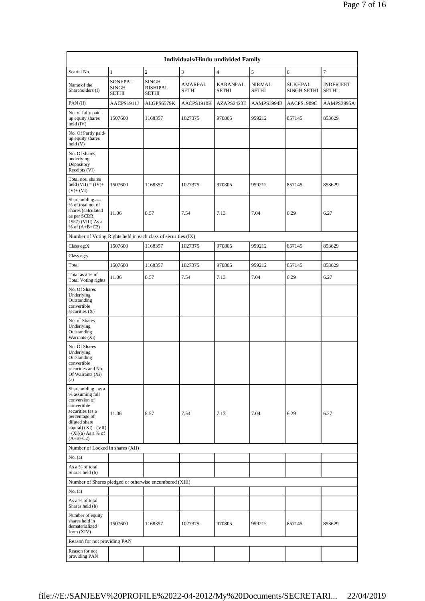| Individuals/Hindu undivided Family                                                                                                                                                        |                                  |                                          |                         |                                 |                        |                                      |                                  |  |  |  |  |  |
|-------------------------------------------------------------------------------------------------------------------------------------------------------------------------------------------|----------------------------------|------------------------------------------|-------------------------|---------------------------------|------------------------|--------------------------------------|----------------------------------|--|--|--|--|--|
| Searial No.                                                                                                                                                                               | $\mathbf{1}$                     | $\overline{2}$                           | $\overline{3}$          | $\overline{4}$                  | 5                      | 6                                    | $\tau$                           |  |  |  |  |  |
| Name of the<br>Shareholders (I)                                                                                                                                                           | SONEPAL<br><b>SINGH</b><br>SETHI | <b>SINGH</b><br>RISHIPAL<br><b>SETHI</b> | AMARPAL<br><b>SETHI</b> | <b>KARANPAL</b><br><b>SETHI</b> | NIRMAL<br><b>SETHI</b> | <b>SUKHPAL</b><br><b>SINGH SETHI</b> | <b>INDERJEET</b><br><b>SETHI</b> |  |  |  |  |  |
| PAN(II)                                                                                                                                                                                   | AACPS1911J                       | ALGPS6579K                               | AACPS1910K              | AZAPS2423E                      | AAMPS3994B             | AACPS1909C                           | AAMPS3995A                       |  |  |  |  |  |
| No. of fully paid<br>up equity shares<br>held (IV)                                                                                                                                        | 1507600                          | 1168357                                  | 1027375                 | 970805                          | 959212                 | 857145                               | 853629                           |  |  |  |  |  |
| No. Of Partly paid-<br>up equity shares<br>$\text{held}$ (V)                                                                                                                              |                                  |                                          |                         |                                 |                        |                                      |                                  |  |  |  |  |  |
| No. Of shares<br>underlying<br>Depository<br>Receipts (VI)                                                                                                                                |                                  |                                          |                         |                                 |                        |                                      |                                  |  |  |  |  |  |
| Total nos. shares<br>held $(VII) = (IV) +$<br>$(V)+(VI)$                                                                                                                                  | 1507600                          | 1168357                                  | 1027375                 | 970805                          | 959212                 | 857145                               | 853629                           |  |  |  |  |  |
| Shareholding as a<br>% of total no. of<br>shares (calculated<br>as per SCRR,<br>1957) (VIII) As a<br>% of $(A+B+C2)$                                                                      | 11.06                            | 8.57                                     | 7.54                    | 7.13                            | 7.04                   | 6.29                                 | 6.27                             |  |  |  |  |  |
| Number of Voting Rights held in each class of securities (IX)                                                                                                                             |                                  |                                          |                         |                                 |                        |                                      |                                  |  |  |  |  |  |
| Class eg:X                                                                                                                                                                                | 1507600                          | 1168357                                  | 1027375                 | 970805                          | 959212                 | 857145                               | 853629                           |  |  |  |  |  |
| Class eg:y                                                                                                                                                                                |                                  |                                          |                         |                                 |                        |                                      |                                  |  |  |  |  |  |
| Total                                                                                                                                                                                     | 1507600                          | 1168357                                  | 1027375                 | 970805                          | 959212                 | 857145                               | 853629                           |  |  |  |  |  |
| Total as a % of<br><b>Total Voting rights</b>                                                                                                                                             | 11.06                            | 8.57                                     | 7.54                    | 7.13                            | 7.04                   | 6.29                                 | 6.27                             |  |  |  |  |  |
| No. Of Shares<br>Underlying<br>Outstanding<br>convertible<br>securities $(X)$                                                                                                             |                                  |                                          |                         |                                 |                        |                                      |                                  |  |  |  |  |  |
| No. of Shares<br>Underlying<br>Outstanding<br>Warrants (Xi)                                                                                                                               |                                  |                                          |                         |                                 |                        |                                      |                                  |  |  |  |  |  |
| No. Of Shares<br>Underlying<br>Outstanding<br>convertible<br>securities and No.<br>Of Warrants (Xi)<br>(a)                                                                                |                                  |                                          |                         |                                 |                        |                                      |                                  |  |  |  |  |  |
| Shareholding, as a<br>% assuming full<br>conversion of<br>convertible<br>securities (as a<br>percentage of<br>diluted share<br>capital) (XI)= (VII)<br>$+(Xi)(a)$ As a % of<br>$(A+B+C2)$ | 11.06                            | 8.57                                     | 7.54                    | 7.13                            | 7.04                   | 6.29                                 | 6.27                             |  |  |  |  |  |
| Number of Locked in shares (XII)                                                                                                                                                          |                                  |                                          |                         |                                 |                        |                                      |                                  |  |  |  |  |  |
| No. (a)                                                                                                                                                                                   |                                  |                                          |                         |                                 |                        |                                      |                                  |  |  |  |  |  |
| As a % of total<br>Shares held (b)                                                                                                                                                        |                                  |                                          |                         |                                 |                        |                                      |                                  |  |  |  |  |  |
| Number of Shares pledged or otherwise encumbered (XIII)                                                                                                                                   |                                  |                                          |                         |                                 |                        |                                      |                                  |  |  |  |  |  |
| No. (a)                                                                                                                                                                                   |                                  |                                          |                         |                                 |                        |                                      |                                  |  |  |  |  |  |
| As a % of total<br>Shares held (b)                                                                                                                                                        |                                  |                                          |                         |                                 |                        |                                      |                                  |  |  |  |  |  |
| Number of equity<br>shares held in<br>dematerialized<br>form $(XIV)$                                                                                                                      | 1507600                          | 1168357                                  | 1027375                 | 970805                          | 959212                 | 857145                               | 853629                           |  |  |  |  |  |
| Reason for not providing PAN                                                                                                                                                              |                                  |                                          |                         |                                 |                        |                                      |                                  |  |  |  |  |  |
| Reason for not<br>providing PAN                                                                                                                                                           |                                  |                                          |                         |                                 |                        |                                      |                                  |  |  |  |  |  |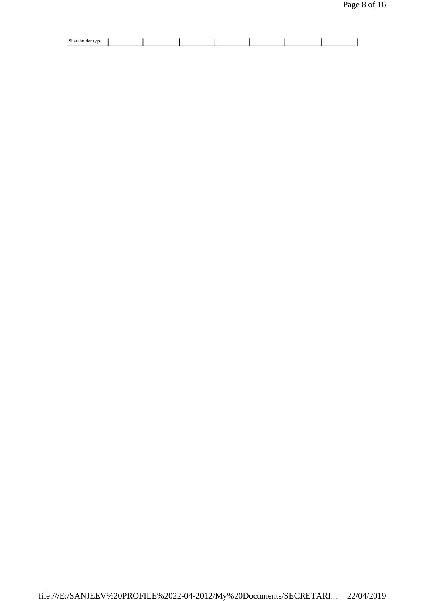| ' Shareholder<br>tvne<br>. . |  |  |  |  |
|------------------------------|--|--|--|--|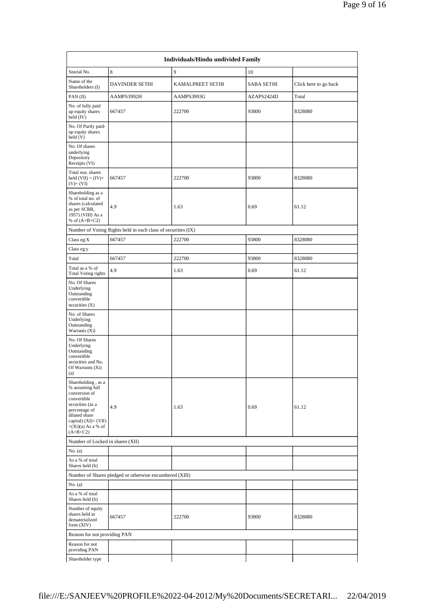| Individuals/Hindu undivided Family                                                                                                                                                        |                                                               |                  |            |                       |  |  |  |  |  |  |  |  |
|-------------------------------------------------------------------------------------------------------------------------------------------------------------------------------------------|---------------------------------------------------------------|------------------|------------|-----------------------|--|--|--|--|--|--|--|--|
| Searial No.                                                                                                                                                                               | 8                                                             | 9                | 10         |                       |  |  |  |  |  |  |  |  |
| Name of the<br>Shareholders (I)                                                                                                                                                           | <b>DAVINDER SETHI</b>                                         | KAMALPREET SETHI | SABA SETHI | Click here to go back |  |  |  |  |  |  |  |  |
| PAN(II)                                                                                                                                                                                   | AAMPS3992H                                                    | AAMPS3993G       | AZAPS2424D | Total                 |  |  |  |  |  |  |  |  |
| No. of fully paid<br>up equity shares<br>held (IV)                                                                                                                                        | 667457                                                        | 222700           | 93800      | 8328080               |  |  |  |  |  |  |  |  |
| No. Of Partly paid-<br>up equity shares<br>$\text{held}(V)$                                                                                                                               |                                                               |                  |            |                       |  |  |  |  |  |  |  |  |
| No. Of shares<br>underlying<br>Depository<br>Receipts (VI)                                                                                                                                |                                                               |                  |            |                       |  |  |  |  |  |  |  |  |
| Total nos. shares<br>held $(VII) = (IV) +$<br>$(V)+(VI)$                                                                                                                                  | 667457                                                        | 222700           | 93800      | 8328080               |  |  |  |  |  |  |  |  |
| Shareholding as a<br>% of total no. of<br>shares (calculated<br>as per SCRR,<br>1957) (VIII) As a<br>% of $(A+B+C2)$                                                                      | 4.9                                                           | 1.63             | 0.69       | 61.12                 |  |  |  |  |  |  |  |  |
|                                                                                                                                                                                           | Number of Voting Rights held in each class of securities (IX) |                  |            |                       |  |  |  |  |  |  |  |  |
| Class eg:X                                                                                                                                                                                | 667457                                                        | 222700           | 93800      | 8328080               |  |  |  |  |  |  |  |  |
| Class eg:y                                                                                                                                                                                |                                                               |                  |            |                       |  |  |  |  |  |  |  |  |
| Total                                                                                                                                                                                     | 667457                                                        | 222700           | 93800      | 8328080               |  |  |  |  |  |  |  |  |
| Total as a % of<br><b>Total Voting rights</b>                                                                                                                                             | 4.9                                                           | 1.63             | 0.69       | 61.12                 |  |  |  |  |  |  |  |  |
| No. Of Shares<br>Underlying<br>Outstanding<br>convertible<br>securities $(X)$                                                                                                             |                                                               |                  |            |                       |  |  |  |  |  |  |  |  |
| No. of Shares<br>Underlying<br>Outstanding<br>Warrants (Xi)                                                                                                                               |                                                               |                  |            |                       |  |  |  |  |  |  |  |  |
| No. Of Shares<br>Underlying<br>Outstanding<br>convertible<br>securities and No.<br>Of Warrants (Xi)<br>(a)                                                                                |                                                               |                  |            |                       |  |  |  |  |  |  |  |  |
| Shareholding, as a<br>% assuming full<br>conversion of<br>convertible<br>securities (as a<br>percentage of<br>diluted share<br>capital) (XI)= (VII)<br>$+(Xi)(a)$ As a % of<br>$(A+B+C2)$ | 4.9                                                           | 1.63             | 0.69       | 61.12                 |  |  |  |  |  |  |  |  |
| Number of Locked in shares (XII)                                                                                                                                                          |                                                               |                  |            |                       |  |  |  |  |  |  |  |  |
| No. (a)                                                                                                                                                                                   |                                                               |                  |            |                       |  |  |  |  |  |  |  |  |
| As a % of total<br>Shares held (b)                                                                                                                                                        |                                                               |                  |            |                       |  |  |  |  |  |  |  |  |
|                                                                                                                                                                                           | Number of Shares pledged or otherwise encumbered (XIII)       |                  |            |                       |  |  |  |  |  |  |  |  |
| No. (a)                                                                                                                                                                                   |                                                               |                  |            |                       |  |  |  |  |  |  |  |  |
| As a % of total<br>Shares held (b)                                                                                                                                                        |                                                               |                  |            |                       |  |  |  |  |  |  |  |  |
| Number of equity<br>shares held in<br>dematerialized<br>form (XIV)                                                                                                                        | 667457                                                        | 222700           | 93800      | 8328080               |  |  |  |  |  |  |  |  |
| Reason for not providing PAN                                                                                                                                                              |                                                               |                  |            |                       |  |  |  |  |  |  |  |  |
| Reason for not<br>providing PAN                                                                                                                                                           |                                                               |                  |            |                       |  |  |  |  |  |  |  |  |
| Shareholder type                                                                                                                                                                          |                                                               |                  |            |                       |  |  |  |  |  |  |  |  |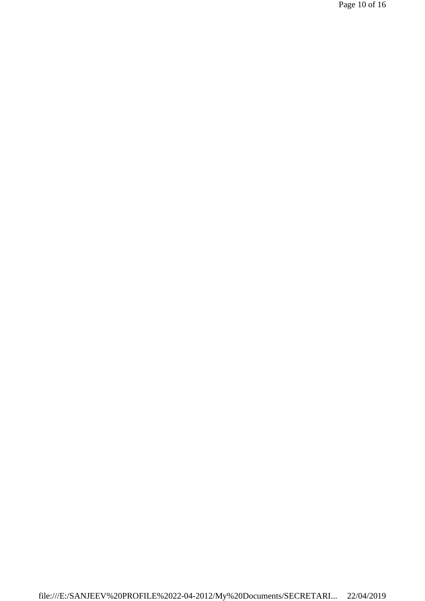Page 10 of 16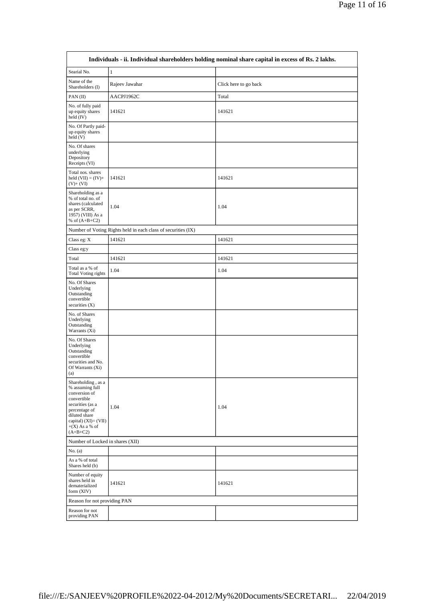| Individuals - ii. Individual shareholders holding nominal share capital in excess of Rs. 2 lakhs.                                                                                        |                                                               |                       |  |  |  |  |  |  |  |  |  |
|------------------------------------------------------------------------------------------------------------------------------------------------------------------------------------------|---------------------------------------------------------------|-----------------------|--|--|--|--|--|--|--|--|--|
| Searial No.                                                                                                                                                                              | $\mathbf{1}$                                                  |                       |  |  |  |  |  |  |  |  |  |
| Name of the<br>Shareholders (I)                                                                                                                                                          | Rajeev Jawahar                                                | Click here to go back |  |  |  |  |  |  |  |  |  |
| $PAN$ (II)                                                                                                                                                                               | AACPJ1962C                                                    | Total                 |  |  |  |  |  |  |  |  |  |
| No. of fully paid<br>up equity shares<br>held (IV)                                                                                                                                       | 141621                                                        | 141621                |  |  |  |  |  |  |  |  |  |
| No. Of Partly paid-<br>up equity shares<br>held (V)                                                                                                                                      |                                                               |                       |  |  |  |  |  |  |  |  |  |
| No. Of shares<br>underlying<br>Depository<br>Receipts (VI)                                                                                                                               |                                                               |                       |  |  |  |  |  |  |  |  |  |
| Total nos. shares<br>held $(VII) = (IV) +$<br>$(V)+(VI)$                                                                                                                                 | 141621                                                        | 141621                |  |  |  |  |  |  |  |  |  |
| Shareholding as a<br>% of total no. of<br>shares (calculated<br>as per SCRR,<br>1957) (VIII) As a<br>% of $(A+B+C2)$                                                                     | 1.04                                                          | 1.04                  |  |  |  |  |  |  |  |  |  |
|                                                                                                                                                                                          | Number of Voting Rights held in each class of securities (IX) |                       |  |  |  |  |  |  |  |  |  |
| Class eg: X                                                                                                                                                                              | 141621                                                        | 141621                |  |  |  |  |  |  |  |  |  |
| Class eg:y                                                                                                                                                                               |                                                               |                       |  |  |  |  |  |  |  |  |  |
| Total                                                                                                                                                                                    | 141621                                                        | 141621                |  |  |  |  |  |  |  |  |  |
| Total as a % of<br>Total Voting rights                                                                                                                                                   | 1.04                                                          | 1.04                  |  |  |  |  |  |  |  |  |  |
| No. Of Shares<br>Underlying<br>Outstanding<br>convertible<br>securities (X)                                                                                                              |                                                               |                       |  |  |  |  |  |  |  |  |  |
| No. of Shares<br>Underlying<br>Outstanding<br>Warrants (Xi)                                                                                                                              |                                                               |                       |  |  |  |  |  |  |  |  |  |
| No. Of Shares<br>Underlying<br>Outstanding<br>convertible<br>securities and No.<br>Of Warrants (Xi)<br>(a)                                                                               |                                                               |                       |  |  |  |  |  |  |  |  |  |
| Shareholding, as a<br>% assuming full<br>conversion of<br>convertible<br>securities (as a<br>percentage of<br>diluted share<br>capital) $(XI) = (VII)$<br>$+(X)$ As a % of<br>$(A+B+C2)$ | 1.04                                                          | 1.04                  |  |  |  |  |  |  |  |  |  |
| Number of Locked in shares (XII)                                                                                                                                                         |                                                               |                       |  |  |  |  |  |  |  |  |  |
| No. $(a)$                                                                                                                                                                                |                                                               |                       |  |  |  |  |  |  |  |  |  |
| As a % of total<br>Shares held (b)                                                                                                                                                       |                                                               |                       |  |  |  |  |  |  |  |  |  |
| Number of equity<br>shares held in<br>dematerialized<br>form (XIV)                                                                                                                       | 141621                                                        | 141621                |  |  |  |  |  |  |  |  |  |
| Reason for not providing PAN                                                                                                                                                             |                                                               |                       |  |  |  |  |  |  |  |  |  |
| Reason for not<br>providing PAN                                                                                                                                                          |                                                               |                       |  |  |  |  |  |  |  |  |  |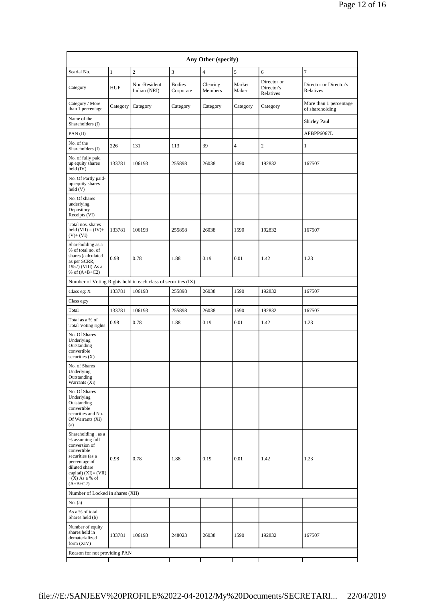|                                                                                                                                                                                          |              |                              |                            | Any Other (specify) |                 |                                        |                                           |
|------------------------------------------------------------------------------------------------------------------------------------------------------------------------------------------|--------------|------------------------------|----------------------------|---------------------|-----------------|----------------------------------------|-------------------------------------------|
| Searial No.                                                                                                                                                                              | $\mathbf{1}$ | $\overline{2}$               | 3                          | 4                   | 5               | 6                                      | $\overline{7}$                            |
| Category                                                                                                                                                                                 | <b>HUF</b>   | Non-Resident<br>Indian (NRI) | <b>Bodies</b><br>Corporate | Clearing<br>Members | Market<br>Maker | Director or<br>Director's<br>Relatives | Director or Director's<br>Relatives       |
| Category / More<br>than 1 percentage                                                                                                                                                     | Category     | Category                     | Category                   | Category            | Category        | Category                               | More than 1 percentage<br>of shareholding |
| Name of the<br>Shareholders (I)                                                                                                                                                          |              |                              |                            |                     |                 |                                        | Shirley Paul                              |
| PAN(II)                                                                                                                                                                                  |              |                              |                            |                     |                 |                                        | AFBPP6067L                                |
| No. of the<br>Shareholders (I)                                                                                                                                                           | 226          | 131                          | 113                        | 39                  | 4               | 2                                      | 1                                         |
| No. of fully paid<br>up equity shares<br>held (IV)                                                                                                                                       | 133781       | 106193                       | 255898                     | 26038               | 1590            | 192832                                 | 167507                                    |
| No. Of Partly paid-<br>up equity shares<br>held(V)                                                                                                                                       |              |                              |                            |                     |                 |                                        |                                           |
| No. Of shares<br>underlying<br>Depository<br>Receipts (VI)                                                                                                                               |              |                              |                            |                     |                 |                                        |                                           |
| Total nos. shares<br>held $(VII) = (IV) +$<br>$(V)+(VI)$                                                                                                                                 | 133781       | 106193                       | 255898                     | 26038               | 1590            | 192832                                 | 167507                                    |
| Shareholding as a<br>% of total no. of<br>shares (calculated<br>as per SCRR,<br>1957) (VIII) As a<br>% of $(A+B+C2)$                                                                     | 0.98         | 0.78                         | 1.88                       | 0.19                | 0.01            | 1.42                                   | 1.23                                      |
| Number of Voting Rights held in each class of securities (IX)                                                                                                                            |              |                              |                            |                     |                 |                                        |                                           |
| Class eg: X                                                                                                                                                                              | 133781       | 106193                       | 255898                     | 26038               | 1590            | 192832                                 | 167507                                    |
| Class eg:y                                                                                                                                                                               |              |                              |                            |                     |                 |                                        |                                           |
| Total                                                                                                                                                                                    | 133781       | 106193                       | 255898                     | 26038               | 1590            | 192832                                 | 167507                                    |
| Total as a % of<br><b>Total Voting rights</b>                                                                                                                                            | 0.98         | 0.78                         | 1.88                       | 0.19                | 0.01            | 1.42                                   | 1.23                                      |
| No. Of Shares<br>Underlying<br>Outstanding<br>convertible<br>securities $(X)$                                                                                                            |              |                              |                            |                     |                 |                                        |                                           |
| No. of Shares<br>Underlying<br>Outstanding<br>Warrants (Xi)                                                                                                                              |              |                              |                            |                     |                 |                                        |                                           |
| No. Of Shares<br>Underlying<br>Outstanding<br>convertible<br>securities and No.<br>Of Warrants (Xi)<br>(a)                                                                               |              |                              |                            |                     |                 |                                        |                                           |
| Shareholding, as a<br>% assuming full<br>conversion of<br>convertible<br>securities (as a<br>percentage of<br>diluted share<br>capital) $(XI) = (VII)$<br>$+(X)$ As a % of<br>$(A+B+C2)$ | 0.98         | 0.78                         | 1.88                       | 0.19                | 0.01            | 1.42                                   | 1.23                                      |
| Number of Locked in shares (XII)                                                                                                                                                         |              |                              |                            |                     |                 |                                        |                                           |
| No. (a)                                                                                                                                                                                  |              |                              |                            |                     |                 |                                        |                                           |
| As a % of total<br>Shares held (b)                                                                                                                                                       |              |                              |                            |                     |                 |                                        |                                           |
| Number of equity<br>shares held in<br>dematerialized<br>form (XIV)                                                                                                                       | 133781       | 106193                       | 248023                     | 26038               | 1590            | 192832                                 | 167507                                    |
| Reason for not providing PAN                                                                                                                                                             |              |                              |                            |                     |                 |                                        |                                           |
|                                                                                                                                                                                          |              |                              |                            |                     |                 |                                        |                                           |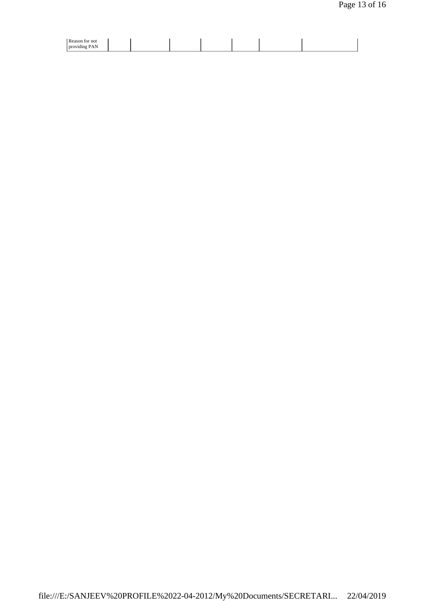| Reason<br>for not             |  |  |  |  |
|-------------------------------|--|--|--|--|
| PAN<br>$\cdot$<br>  providing |  |  |  |  |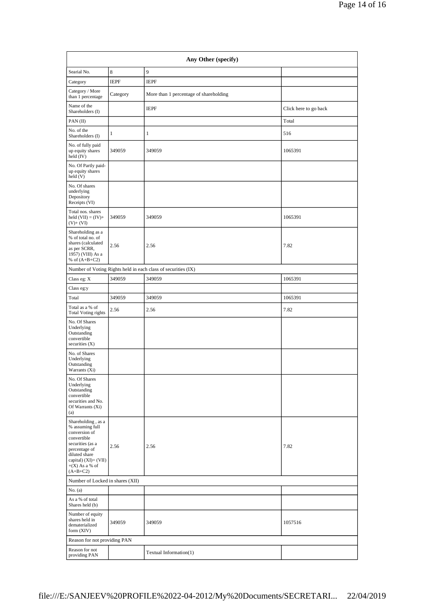| Any Other (specify)                                                                                                                                                                      |             |                                        |                       |  |
|------------------------------------------------------------------------------------------------------------------------------------------------------------------------------------------|-------------|----------------------------------------|-----------------------|--|
| Searial No.                                                                                                                                                                              | 8           | 9                                      |                       |  |
| Category                                                                                                                                                                                 | <b>IEPF</b> | <b>IEPF</b>                            |                       |  |
| Category / More<br>than 1 percentage                                                                                                                                                     | Category    | More than 1 percentage of shareholding |                       |  |
| Name of the<br>Shareholders (I)                                                                                                                                                          |             | <b>IEPF</b>                            | Click here to go back |  |
| PAN(II)                                                                                                                                                                                  |             |                                        | Total                 |  |
| No. of the<br>Shareholders (I)                                                                                                                                                           | 1           | $\mathbf{1}$                           | 516                   |  |
| No. of fully paid<br>up equity shares<br>held (IV)                                                                                                                                       | 349059      | 349059                                 | 1065391               |  |
| No. Of Partly paid-<br>up equity shares<br>held (V)                                                                                                                                      |             |                                        |                       |  |
| No. Of shares<br>underlying<br>Depository<br>Receipts (VI)                                                                                                                               |             |                                        |                       |  |
| Total nos. shares<br>held $(VII) = (IV) +$<br>$(V) + (VI)$                                                                                                                               | 349059      | 349059                                 | 1065391               |  |
| Shareholding as a<br>% of total no. of<br>shares (calculated<br>as per SCRR,<br>1957) (VIII) As a<br>% of $(A+B+C2)$                                                                     | 2.56        | 2.56                                   | 7.82                  |  |
| Number of Voting Rights held in each class of securities (IX)                                                                                                                            |             |                                        |                       |  |
| Class eg: $\mathbf X$                                                                                                                                                                    | 349059      | 349059                                 | 1065391               |  |
| Class eg:y                                                                                                                                                                               |             |                                        |                       |  |
| Total                                                                                                                                                                                    | 349059      | 349059                                 | 1065391               |  |
| Total as a % of<br><b>Total Voting rights</b>                                                                                                                                            | 2.56        | 2.56                                   | 7.82                  |  |
| No. Of Shares<br>Underlying<br>Outstanding<br>convertible<br>securities $(X)$                                                                                                            |             |                                        |                       |  |
| No. of Shares<br>Underlying<br>Outstanding<br>Warrants (Xi)                                                                                                                              |             |                                        |                       |  |
| No. Of Shares<br>Underlying<br>Outstanding<br>convertible<br>securities and No.<br>Of Warrants (Xi)<br>(a)                                                                               |             |                                        |                       |  |
| Shareholding, as a<br>% assuming full<br>conversion of<br>convertible<br>securities (as a<br>percentage of<br>diluted share<br>capital) $(XI) = (VII)$<br>$+(X)$ As a % of<br>$(A+B+C2)$ | 2.56        | 2.56                                   | 7.82                  |  |
| Number of Locked in shares (XII)                                                                                                                                                         |             |                                        |                       |  |
| No. (a)                                                                                                                                                                                  |             |                                        |                       |  |
| As a % of total<br>Shares held (b)                                                                                                                                                       |             |                                        |                       |  |
| Number of equity<br>shares held in<br>dematerialized<br>form (XIV)                                                                                                                       | 349059      | 349059                                 | 1057516               |  |
| Reason for not providing PAN                                                                                                                                                             |             |                                        |                       |  |
| Reason for not<br>providing PAN                                                                                                                                                          |             | Textual Information(1)                 |                       |  |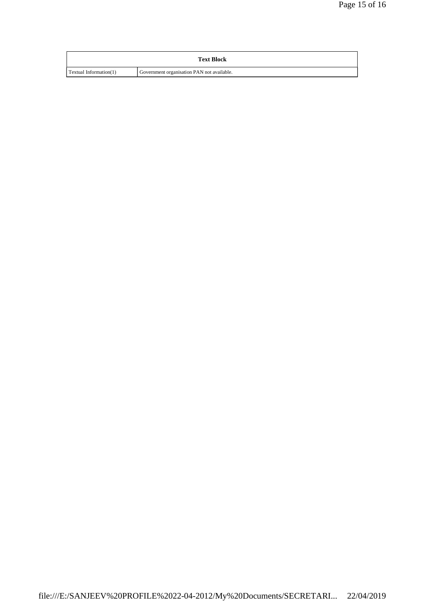|                        | <b>Text Block</b>                          |
|------------------------|--------------------------------------------|
| Textual Information(1) | Government organisation PAN not available. |